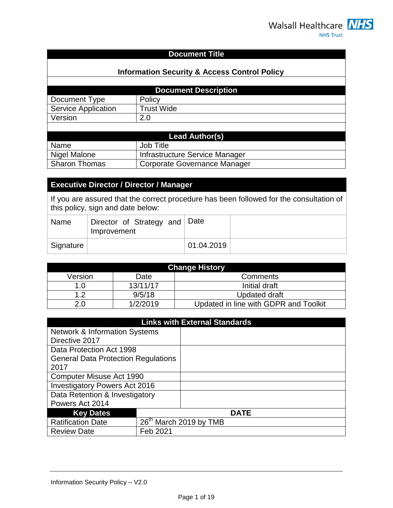## **Document Title**

## **Information Security & Access Control Policy**

| <b>Document Description</b> |                   |
|-----------------------------|-------------------|
| Document Type               | Policy            |
| Service Application         | <b>Trust Wide</b> |
| Version                     |                   |
|                             |                   |

| Lead Author(s)       |                                |  |
|----------------------|--------------------------------|--|
| Name                 | Job Title                      |  |
| Nigel Malone         | Infrastructure Service Manager |  |
| <b>Sharon Thomas</b> | Corporate Governance Manager   |  |

# **Executive Director / Director / Manager**

If you are assured that the correct procedure has been followed for the consultation of this policy, sign and date below:

| Name      | Director of Strategy and Date<br>Improvement |            |  |
|-----------|----------------------------------------------|------------|--|
| Signature |                                              | 01.04.2019 |  |

| <b>Change History</b> |          |                                       |
|-----------------------|----------|---------------------------------------|
| Version               | Date     | Comments                              |
| 1.0                   | 13/11/17 | Initial draft                         |
| ィっ                    | 9/5/18   | Updated draft                         |
| 2.0                   | 1/2/2019 | Updated in line with GDPR and Toolkit |

| <b>Links with External Standards</b>       |          |                                    |
|--------------------------------------------|----------|------------------------------------|
| <b>Network &amp; Information Systems</b>   |          |                                    |
| Directive 2017                             |          |                                    |
| Data Protection Act 1998                   |          |                                    |
| <b>General Data Protection Regulations</b> |          |                                    |
| 2017                                       |          |                                    |
| Computer Misuse Act 1990                   |          |                                    |
| <b>Investigatory Powers Act 2016</b>       |          |                                    |
| Data Retention & Investigatory             |          |                                    |
| Powers Act 2014                            |          |                                    |
| <b>Key Dates</b>                           |          | <b>DATE</b>                        |
| <b>Ratification Date</b>                   |          | 26 <sup>th</sup> March 2019 by TMB |
| <b>Review Date</b>                         | Feb 2021 |                                    |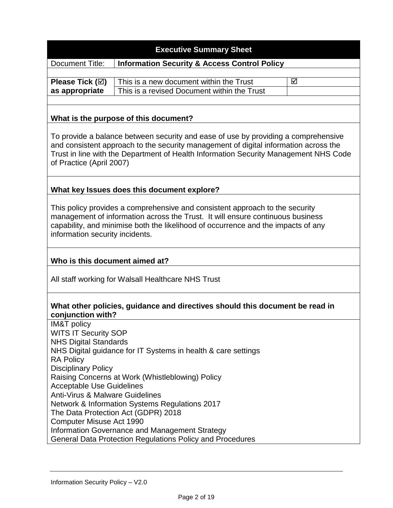#### **Executive Summary Sheet**

Document Title: **Information Security & Access Control Policy**

|                | <b>Please Tick (<math>\boxtimes</math>)</b>   This is a new document within the Trust | ا⊽ا |
|----------------|---------------------------------------------------------------------------------------|-----|
| as appropriate | This is a revised Document within the Trust                                           |     |

#### **What is the purpose of this document?**

To provide a balance between security and ease of use by providing a comprehensive and consistent approach to the security management of digital information across the Trust in line with the Department of Health Information Security Management NHS Code of Practice (April 2007)

#### **What key Issues does this document explore?**

This policy provides a comprehensive and consistent approach to the security management of information across the Trust. It will ensure continuous business capability, and minimise both the likelihood of occurrence and the impacts of any information security incidents.

#### **Who is this document aimed at?**

All staff working for Walsall Healthcare NHS Trust

#### **What other policies, guidance and directives should this document be read in conjunction with?**

IM&T policy WITS IT Security SOP [NHS Digital Standards](http://content.digital.nhs.uk/patientconf) NHS [Digital guidance for IT Systems in health & care settings](https://digital.nhs.uk/cyber-security/policy-and-good-practice-in-health-care/audit) RA Policy Disciplinary Policy Raising Concerns at Work (Whistleblowing) Policy Acceptable Use Guidelines Anti-Virus & Malware Guidelines Network & Information Systems Regulations 2017 The Data Protection Act (GDPR) 2018 Computer Misuse Act 1990 Information Governance and Management Strategy General Data Protection Regulations Policy and Procedures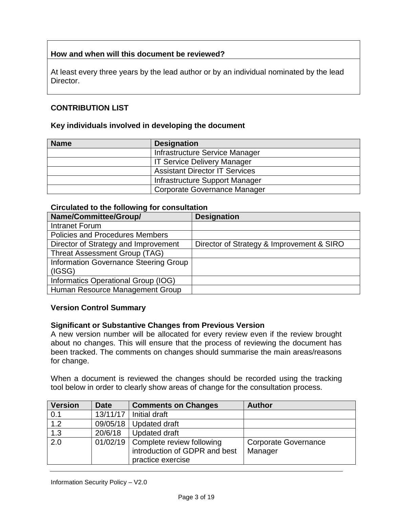## **How and when will this document be reviewed?**

At least every three years by the lead author or by an individual nominated by the lead Director.

## **CONTRIBUTION LIST**

#### **Key individuals involved in developing the document**

| <b>Name</b> | <b>Designation</b>                    |
|-------------|---------------------------------------|
|             | Infrastructure Service Manager        |
|             | <b>IT Service Delivery Manager</b>    |
|             | <b>Assistant Director IT Services</b> |
|             | Infrastructure Support Manager        |
|             | <b>Corporate Governance Manager</b>   |

#### **Circulated to the following for consultation**

| Name/Committee/Group/                  | <b>Designation</b>                        |
|----------------------------------------|-------------------------------------------|
| Intranet Forum                         |                                           |
| <b>Policies and Procedures Members</b> |                                           |
| Director of Strategy and Improvement   | Director of Strategy & Improvement & SIRO |
| <b>Threat Assessment Group (TAG)</b>   |                                           |
| Information Governance Steering Group  |                                           |
| (IGSG)                                 |                                           |
| Informatics Operational Group (IOG)    |                                           |
| Human Resource Management Group        |                                           |

#### **Version Control Summary**

#### **Significant or Substantive Changes from Previous Version**

A new version number will be allocated for every review even if the review brought about no changes. This will ensure that the process of reviewing the document has been tracked. The comments on changes should summarise the main areas/reasons for change.

When a document is reviewed the changes should be recorded using the tracking tool below in order to clearly show areas of change for the consultation process.

| <b>Version</b>   | <b>Date</b> | <b>Comments on Changes</b>           | <b>Author</b>               |
|------------------|-------------|--------------------------------------|-----------------------------|
| 0.1              |             | 13/11/17   Initial draft             |                             |
| 1.2              |             | $09/05/18$ Updated draft             |                             |
| 1.3              | 20/6/18     | <b>Updated draft</b>                 |                             |
| $\overline{2.0}$ |             | 01/02/19   Complete review following | <b>Corporate Governance</b> |
|                  |             | introduction of GDPR and best        | Manager                     |
|                  |             | practice exercise                    |                             |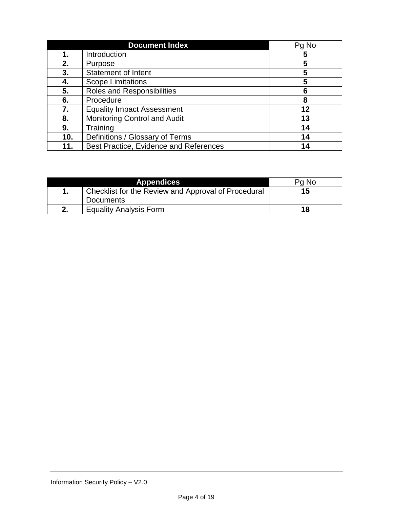|     | <b>Document Index</b>                  | Pg No |
|-----|----------------------------------------|-------|
| 1.  | Introduction                           | 5     |
| 2.  | Purpose                                | 5     |
| 3.  | Statement of Intent                    | 5     |
| 4.  | <b>Scope Limitations</b>               | 5     |
| 5.  | Roles and Responsibilities             | 6     |
| 6.  | Procedure                              | 8     |
| 7.  | <b>Equality Impact Assessment</b>      | 12    |
| 8.  | <b>Monitoring Control and Audit</b>    | 13    |
| 9.  | Training                               | 14    |
| 10. | Definitions / Glossary of Terms        | 14    |
|     | Best Practice, Evidence and References |       |

| <b>Appendices</b>                                   | Pg No |
|-----------------------------------------------------|-------|
| Checklist for the Review and Approval of Procedural | 15    |
| <b>Documents</b>                                    |       |
| <b>Equality Analysis Form</b>                       | 18    |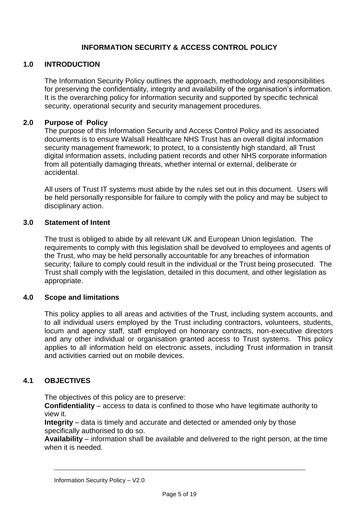## **INFORMATION SECURITY & ACCESS CONTROL POLICY**

## **1.0 INTRODUCTION**

The Information Security Policy outlines the approach, methodology and responsibilities for preserving the confidentiality, integrity and availability of the organisation's information. It is the overarching policy for information security and supported by specific technical security, operational security and security management procedures.

#### **2.0 Purpose of Policy**

The purpose of this Information Security and Access Control Policy and its associated documents is to ensure Walsall Healthcare NHS Trust has an overall digital information security management framework; to protect, to a consistently high standard, all Trust digital information assets, including patient records and other NHS corporate information from all potentially damaging threats, whether internal or external, deliberate or accidental.

All users of Trust IT systems must abide by the rules set out in this document. Users will be held personally responsible for failure to comply with the policy and may be subject to disciplinary action.

#### **3.0 Statement of Intent**

The trust is obliged to abide by all relevant UK and European Union legislation. The requirements to comply with this legislation shall be devolved to employees and agents of the Trust, who may be held personally accountable for any breaches of information security; failure to comply could result in the individual or the Trust being prosecuted. The Trust shall comply with the legislation, detailed in this document, and other legislation as appropriate.

#### **4.0 Scope and limitations**

This policy applies to all areas and activities of the Trust, including system accounts, and to all individual users employed by the Trust including contractors, volunteers, students, locum and agency staff, staff employed on honorary contracts, non-executive directors and any other individual or organisation granted access to Trust systems. This policy applies to all information held on electronic assets, including Trust information in transit and activities carried out on mobile devices.

#### **4.1 OBJECTIVES**

The objectives of this policy are to preserve:

**Confidentiality** – access to data is confined to those who have legitimate authority to view it.

**Integrity** – data is timely and accurate and detected or amended only by those specifically authorised to do so.

**Availability** – information shall be available and delivered to the right person, at the time when it is needed.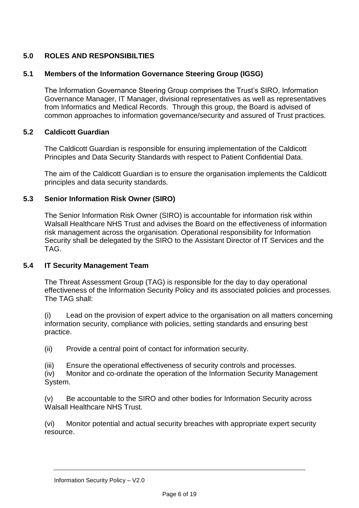# **5.0 ROLES AND RESPONSIBILTIES**

## **5.1 Members of the Information Governance Steering Group (IGSG)**

The Information Governance Steering Group comprises the Trust's SIRO, Information Governance Manager, IT Manager, divisional representatives as well as representatives from Informatics and Medical Records. Through this group, the Board is advised of common approaches to information governance/security and assured of Trust practices.

## **5.2 Caldicott Guardian**

The Caldicott Guardian is responsible for ensuring implementation of the Caldicott Principles and Data Security Standards with respect to Patient Confidential Data.

The aim of the Caldicott Guardian is to ensure the organisation implements the Caldicott principles and data security standards.

## **5.3 Senior Information Risk Owner (SIRO)**

The Senior Information Risk Owner (SIRO) is accountable for information risk within Walsall Healthcare NHS Trust and advises the Board on the effectiveness of information risk management across the organisation. Operational responsibility for Information Security shall be delegated by the SIRO to the Assistant Director of IT Services and the TAG.

#### **5.4 IT Security Management Team**

The Threat Assessment Group (TAG) is responsible for the day to day operational effectiveness of the Information Security Policy and its associated policies and processes. The TAG shall:

(i) Lead on the provision of expert advice to the organisation on all matters concerning information security, compliance with policies, setting standards and ensuring best practice.

(ii) Provide a central point of contact for information security.

(iii) Ensure the operational effectiveness of security controls and processes.

(iv) Monitor and co-ordinate the operation of the Information Security Management System.

(v) Be accountable to the SIRO and other bodies for Information Security across Walsall Healthcare NHS Trust.

(vi) Monitor potential and actual security breaches with appropriate expert security resource.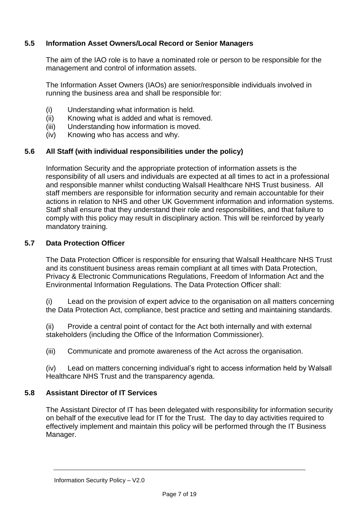## **5.5 Information Asset Owners/Local Record or Senior Managers**

The aim of the IAO role is to have a nominated role or person to be responsible for the management and control of information assets.

The Information Asset Owners (IAOs) are senior/responsible individuals involved in running the business area and shall be responsible for:

- (i) Understanding what information is held.
- (ii) Knowing what is added and what is removed.
- (iii) Understanding how information is moved.
- (iv) Knowing who has access and why.

## **5.6 All Staff (with individual responsibilities under the policy)**

Information Security and the appropriate protection of information assets is the responsibility of all users and individuals are expected at all times to act in a professional and responsible manner whilst conducting Walsall Healthcare NHS Trust business. All staff members are responsible for information security and remain accountable for their actions in relation to NHS and other UK Government information and information systems. Staff shall ensure that they understand their role and responsibilities, and that failure to comply with this policy may result in disciplinary action. This will be reinforced by yearly mandatory training.

#### **5.7 Data Protection Officer**

The Data Protection Officer is responsible for ensuring that Walsall Healthcare NHS Trust and its constituent business areas remain compliant at all times with Data Protection, Privacy & Electronic Communications Regulations, Freedom of Information Act and the Environmental Information Regulations. The Data Protection Officer shall:

(i) Lead on the provision of expert advice to the organisation on all matters concerning the Data Protection Act, compliance, best practice and setting and maintaining standards.

(ii) Provide a central point of contact for the Act both internally and with external stakeholders (including the Office of the Information Commissioner).

(iii) Communicate and promote awareness of the Act across the organisation.

(iv) Lead on matters concerning individual's right to access information held by Walsall Healthcare NHS Trust and the transparency agenda.

## **5.8 Assistant Director of IT Services**

The Assistant Director of IT has been delegated with responsibility for information security on behalf of the executive lead for IT for the Trust. The day to day activities required to effectively implement and maintain this policy will be performed through the IT Business Manager.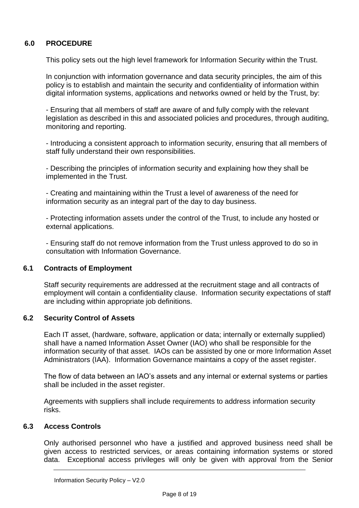## **6.0 PROCEDURE**

This policy sets out the high level framework for Information Security within the Trust.

In conjunction with information governance and data security principles, the aim of this policy is to establish and maintain the security and confidentiality of information within digital information systems, applications and networks owned or held by the Trust, by:

- Ensuring that all members of staff are aware of and fully comply with the relevant legislation as described in this and associated policies and procedures, through auditing, monitoring and reporting.

- Introducing a consistent approach to information security, ensuring that all members of staff fully understand their own responsibilities.

- Describing the principles of information security and explaining how they shall be implemented in the Trust.

- Creating and maintaining within the Trust a level of awareness of the need for information security as an integral part of the day to day business.

- Protecting information assets under the control of the Trust, to include any hosted or external applications.

- Ensuring staff do not remove information from the Trust unless approved to do so in consultation with Information Governance.

## **6.1 Contracts of Employment**

Staff security requirements are addressed at the recruitment stage and all contracts of employment will contain a confidentiality clause. Information security expectations of staff are including within appropriate job definitions.

## **6.2 Security Control of Assets**

Each IT asset, (hardware, software, application or data; internally or externally supplied) shall have a named Information Asset Owner (IAO) who shall be responsible for the information security of that asset. IAOs can be assisted by one or more Information Asset Administrators (IAA). Information Governance maintains a copy of the asset register.

The flow of data between an IAO's assets and any internal or external systems or parties shall be included in the asset register.

Agreements with suppliers shall include requirements to address information security risks.

### **6.3 Access Controls**

Only authorised personnel who have a justified and approved business need shall be given access to restricted services, or areas containing information systems or stored data. Exceptional access privileges will only be given with approval from the Senior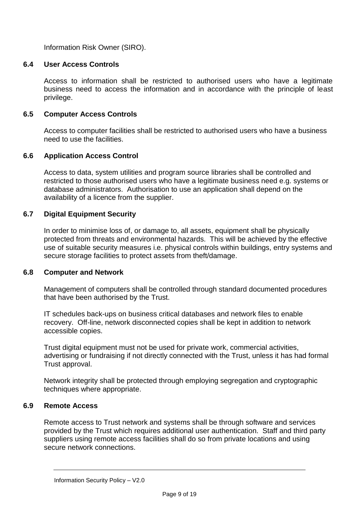Information Risk Owner (SIRO).

## **6.4 User Access Controls**

Access to information shall be restricted to authorised users who have a legitimate business need to access the information and in accordance with the principle of least privilege.

## **6.5 Computer Access Controls**

Access to computer facilities shall be restricted to authorised users who have a business need to use the facilities.

## **6.6 Application Access Control**

Access to data, system utilities and program source libraries shall be controlled and restricted to those authorised users who have a legitimate business need e.g. systems or database administrators. Authorisation to use an application shall depend on the availability of a licence from the supplier.

## **6.7 Digital Equipment Security**

In order to minimise loss of, or damage to, all assets, equipment shall be physically protected from threats and environmental hazards. This will be achieved by the effective use of suitable security measures i.e. physical controls within buildings, entry systems and secure storage facilities to protect assets from theft/damage.

#### **6.8 Computer and Network**

Management of computers shall be controlled through standard documented procedures that have been authorised by the Trust.

IT schedules back-ups on business critical databases and network files to enable recovery. Off-line, network disconnected copies shall be kept in addition to network accessible copies.

Trust digital equipment must not be used for private work, commercial activities, advertising or fundraising if not directly connected with the Trust, unless it has had formal Trust approval.

Network integrity shall be protected through employing segregation and cryptographic techniques where appropriate.

## **6.9 Remote Access**

Remote access to Trust network and systems shall be through software and services provided by the Trust which requires additional user authentication. Staff and third party suppliers using remote access facilities shall do so from private locations and using secure network connections.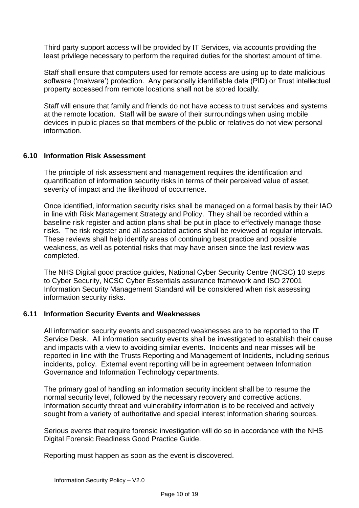Third party support access will be provided by IT Services, via accounts providing the least privilege necessary to perform the required duties for the shortest amount of time.

Staff shall ensure that computers used for remote access are using up to date malicious software ('malware') protection. Any personally identifiable data (PID) or Trust intellectual property accessed from remote locations shall not be stored locally.

Staff will ensure that family and friends do not have access to trust services and systems at the remote location. Staff will be aware of their surroundings when using mobile devices in public places so that members of the public or relatives do not view personal information.

## **6.10 Information Risk Assessment**

The principle of risk assessment and management requires the identification and quantification of information security risks in terms of their perceived value of asset, severity of impact and the likelihood of occurrence.

Once identified, information security risks shall be managed on a formal basis by their IAO in line with Risk Management Strategy and Policy. They shall be recorded within a baseline risk register and action plans shall be put in place to effectively manage those risks. The risk register and all associated actions shall be reviewed at regular intervals. These reviews shall help identify areas of continuing best practice and possible weakness, as well as potential risks that may have arisen since the last review was completed.

The NHS Digital good practice guides, National Cyber Security Centre (NCSC) 10 steps to Cyber Security, NCSC Cyber Essentials assurance framework and ISO 27001 Information Security Management Standard will be considered when risk assessing information security risks.

## **6.11 Information Security Events and Weaknesses**

All information security events and suspected weaknesses are to be reported to the IT Service Desk. All information security events shall be investigated to establish their cause and impacts with a view to avoiding similar events. Incidents and near misses will be reported in line with the Trusts Reporting and Management of Incidents, including serious incidents, policy. External event reporting will be in agreement between Information Governance and Information Technology departments.

The primary goal of handling an information security incident shall be to resume the normal security level, followed by the necessary recovery and corrective actions. Information security threat and vulnerability information is to be received and actively sought from a variety of authoritative and special interest information sharing sources.

Serious events that require forensic investigation will do so in accordance with the NHS Digital Forensic Readiness Good Practice Guide.

Reporting must happen as soon as the event is discovered.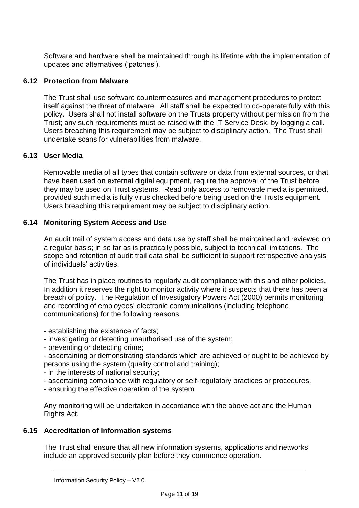Software and hardware shall be maintained through its lifetime with the implementation of updates and alternatives ('patches').

## **6.12 Protection from Malware**

The Trust shall use software countermeasures and management procedures to protect itself against the threat of malware. All staff shall be expected to co-operate fully with this policy. Users shall not install software on the Trusts property without permission from the Trust; any such requirements must be raised with the IT Service Desk, by logging a call. Users breaching this requirement may be subject to disciplinary action. The Trust shall undertake scans for vulnerabilities from malware.

## **6.13 User Media**

Removable media of all types that contain software or data from external sources, or that have been used on external digital equipment, require the approval of the Trust before they may be used on Trust systems. Read only access to removable media is permitted, provided such media is fully virus checked before being used on the Trusts equipment. Users breaching this requirement may be subject to disciplinary action.

# **6.14 Monitoring System Access and Use**

An audit trail of system access and data use by staff shall be maintained and reviewed on a regular basis; in so far as is practically possible, subject to technical limitations. The scope and retention of audit trail data shall be sufficient to support retrospective analysis of individuals' activities.

The Trust has in place routines to regularly audit compliance with this and other policies. In addition it reserves the right to monitor activity where it suspects that there has been a breach of policy. The Regulation of Investigatory Powers Act (2000) permits monitoring and recording of employees' electronic communications (including telephone communications) for the following reasons:

- establishing the existence of facts;
- investigating or detecting unauthorised use of the system;
- preventing or detecting crime;
- ascertaining or demonstrating standards which are achieved or ought to be achieved by persons using the system (quality control and training);
- in the interests of national security;
- ascertaining compliance with regulatory or self-regulatory practices or procedures.
- ensuring the effective operation of the system

Any monitoring will be undertaken in accordance with the above act and the Human Rights Act.

# **6.15 Accreditation of Information systems**

The Trust shall ensure that all new information systems, applications and networks include an approved security plan before they commence operation.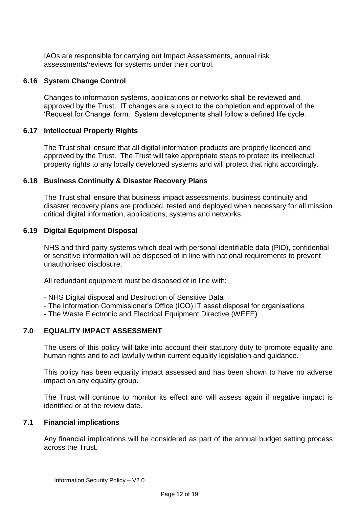IAOs are responsible for carrying out Impact Assessments, annual risk assessments/reviews for systems under their control.

## **6.16 System Change Control**

Changes to information systems, applications or networks shall be reviewed and approved by the Trust. IT changes are subject to the completion and approval of the 'Request for Change' form. System developments shall follow a defined life cycle.

## **6.17 Intellectual Property Rights**

The Trust shall ensure that all digital information products are properly licenced and approved by the Trust. The Trust will take appropriate steps to protect its intellectual property rights to any locally developed systems and will protect that right accordingly.

#### **6.18 Business Continuity & Disaster Recovery Plans**

The Trust shall ensure that business impact assessments, business continuity and disaster recovery plans are produced, tested and deployed when necessary for all mission critical digital information, applications, systems and networks.

#### **6.19 Digital Equipment Disposal**

NHS and third party systems which deal with personal identifiable data (PID), confidential or sensitive information will be disposed of in line with national requirements to prevent unauthorised disclosure.

All redundant equipment must be disposed of in line with:

- NHS Digital disposal and Destruction of Sensitive Data
- The Information Commissioner's Office (ICO) IT asset disposal for organisations
- The Waste Electronic and Electrical Equipment Directive (WEEE)

#### **7.0 EQUALITY IMPACT ASSESSMENT**

The users of this policy will take into account their statutory duty to promote equality and human rights and to act lawfully within current equality legislation and guidance.

This policy has been equality impact assessed and has been shown to have no adverse impact on any equality group.

The Trust will continue to monitor its effect and will assess again if negative impact is identified or at the review date.

#### **7.1 Financial implications**

Any financial implications will be considered as part of the annual budget setting process across the Trust.

Information Security Policy – V2.0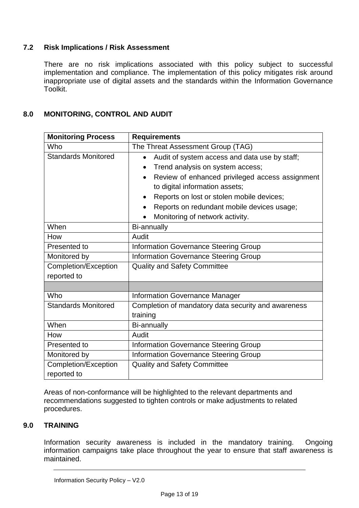# **7.2 Risk Implications / Risk Assessment**

There are no risk implications associated with this policy subject to successful implementation and compliance. The implementation of this policy mitigates risk around inappropriate use of digital assets and the standards within the Information Governance Toolkit.

# **8.0 MONITORING, CONTROL AND AUDIT**

| <b>Monitoring Process</b>           | <b>Requirements</b>                                                                                                                                                                                                                                                                                                                                      |  |
|-------------------------------------|----------------------------------------------------------------------------------------------------------------------------------------------------------------------------------------------------------------------------------------------------------------------------------------------------------------------------------------------------------|--|
| Who                                 | The Threat Assessment Group (TAG)                                                                                                                                                                                                                                                                                                                        |  |
| <b>Standards Monitored</b>          | Audit of system access and data use by staff;<br>Trend analysis on system access;<br>$\bullet$<br>Review of enhanced privileged access assignment<br>$\bullet$<br>to digital information assets;<br>Reports on lost or stolen mobile devices;<br>$\bullet$<br>Reports on redundant mobile devices usage;<br>$\bullet$<br>Monitoring of network activity. |  |
| When                                | Bi-annually                                                                                                                                                                                                                                                                                                                                              |  |
| How                                 | Audit                                                                                                                                                                                                                                                                                                                                                    |  |
| Presented to                        | <b>Information Governance Steering Group</b>                                                                                                                                                                                                                                                                                                             |  |
| Monitored by                        | <b>Information Governance Steering Group</b>                                                                                                                                                                                                                                                                                                             |  |
| Completion/Exception<br>reported to | <b>Quality and Safety Committee</b>                                                                                                                                                                                                                                                                                                                      |  |
|                                     |                                                                                                                                                                                                                                                                                                                                                          |  |
| Who                                 | <b>Information Governance Manager</b>                                                                                                                                                                                                                                                                                                                    |  |
| <b>Standards Monitored</b>          | Completion of mandatory data security and awareness<br>training                                                                                                                                                                                                                                                                                          |  |
| When                                | Bi-annually                                                                                                                                                                                                                                                                                                                                              |  |
| How                                 | Audit                                                                                                                                                                                                                                                                                                                                                    |  |
| Presented to                        | <b>Information Governance Steering Group</b>                                                                                                                                                                                                                                                                                                             |  |
| Monitored by                        | <b>Information Governance Steering Group</b>                                                                                                                                                                                                                                                                                                             |  |
| Completion/Exception<br>reported to | <b>Quality and Safety Committee</b>                                                                                                                                                                                                                                                                                                                      |  |

Areas of non-conformance will be highlighted to the relevant departments and recommendations suggested to tighten controls or make adjustments to related procedures.

## **9.0 TRAINING**

Information security awareness is included in the mandatory training. Ongoing information campaigns take place throughout the year to ensure that staff awareness is maintained.

Information Security Policy – V2.0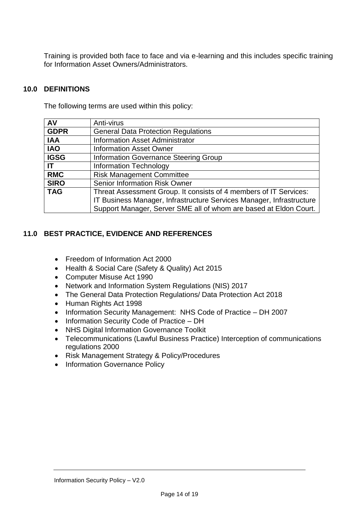Training is provided both face to face and via e-learning and this includes specific training for Information Asset Owners/Administrators.

## **10.0 DEFINITIONS**

The following terms are used within this policy:

| AV          | Anti-virus                                                           |  |  |
|-------------|----------------------------------------------------------------------|--|--|
| <b>GDPR</b> | <b>General Data Protection Regulations</b>                           |  |  |
| <b>IAA</b>  | <b>Information Asset Administrator</b>                               |  |  |
| <b>IAO</b>  | <b>Information Asset Owner</b>                                       |  |  |
| <b>IGSG</b> | Information Governance Steering Group                                |  |  |
| <b>IT</b>   | <b>Information Technology</b>                                        |  |  |
| <b>RMC</b>  | <b>Risk Management Committee</b>                                     |  |  |
| <b>SIRO</b> | <b>Senior Information Risk Owner</b>                                 |  |  |
| <b>TAG</b>  | Threat Assessment Group. It consists of 4 members of IT Services:    |  |  |
|             | IT Business Manager, Infrastructure Services Manager, Infrastructure |  |  |
|             | Support Manager, Server SME all of whom are based at Eldon Court.    |  |  |

## **11.0 BEST PRACTICE, EVIDENCE AND REFERENCES**

- Freedom of Information Act 2000
- Health & Social Care (Safety & Quality) Act 2015
- Computer Misuse Act 1990
- Network and Information System Regulations (NIS) 2017
- The General Data Protection Regulations/ Data Protection Act 2018
- Human Rights Act 1998
- Information Security Management: NHS Code of Practice DH 2007
- Information Security Code of Practice DH
- NHS Digital Information Governance Toolkit
- Telecommunications (Lawful Business Practice) Interception of communications regulations 2000
- Risk Management Strategy & Policy/Procedures
- Information Governance Policy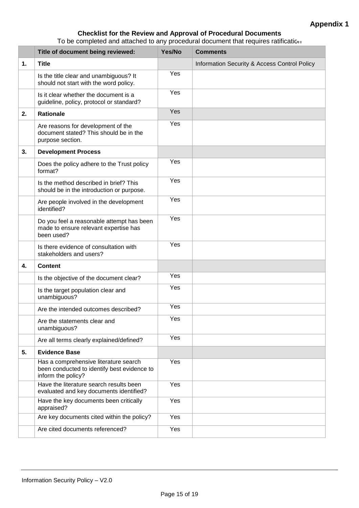## **Checklist for the Review and Approval of Procedural Documents**

To be completed and attached to any procedural document that requires ratification

|    | Title of document being reviewed:                                                                          | Yes/No | <b>Comments</b>                              |
|----|------------------------------------------------------------------------------------------------------------|--------|----------------------------------------------|
| 1. | <b>Title</b>                                                                                               |        | Information Security & Access Control Policy |
|    | Is the title clear and unambiguous? It<br>should not start with the word policy.                           | Yes    |                                              |
|    | Is it clear whether the document is a<br>guideline, policy, protocol or standard?                          | Yes    |                                              |
| 2. | <b>Rationale</b>                                                                                           | Yes    |                                              |
|    | Are reasons for development of the<br>document stated? This should be in the<br>purpose section.           | Yes    |                                              |
| 3. | <b>Development Process</b>                                                                                 |        |                                              |
|    | Does the policy adhere to the Trust policy<br>format?                                                      | Yes    |                                              |
|    | Is the method described in brief? This<br>should be in the introduction or purpose.                        | Yes    |                                              |
|    | Are people involved in the development<br>identified?                                                      | Yes    |                                              |
|    | Do you feel a reasonable attempt has been<br>made to ensure relevant expertise has<br>been used?           | Yes    |                                              |
|    | Is there evidence of consultation with<br>stakeholders and users?                                          | Yes    |                                              |
| 4. | <b>Content</b>                                                                                             |        |                                              |
|    | Is the objective of the document clear?                                                                    | Yes    |                                              |
|    | Is the target population clear and<br>unambiguous?                                                         | Yes    |                                              |
|    | Are the intended outcomes described?                                                                       | Yes    |                                              |
|    | Are the statements clear and<br>unambiguous?                                                               | Yes    |                                              |
|    | Are all terms clearly explained/defined?                                                                   | Yes    |                                              |
| 5. | <b>Evidence Base</b>                                                                                       |        |                                              |
|    | Has a comprehensive literature search<br>been conducted to identify best evidence to<br>inform the policy? | Yes    |                                              |
|    | Have the literature search results been<br>evaluated and key documents identified?                         | Yes    |                                              |
|    | Have the key documents been critically<br>appraised?                                                       | Yes    |                                              |
|    | Are key documents cited within the policy?                                                                 | Yes    |                                              |
|    | Are cited documents referenced?                                                                            | Yes    |                                              |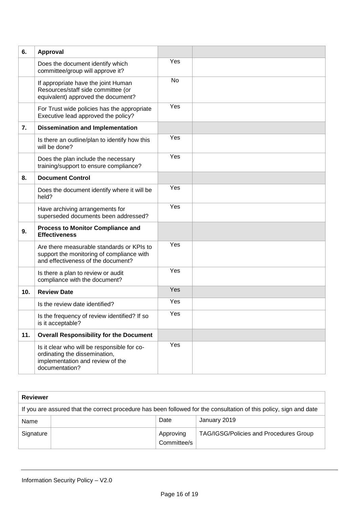| 6.  | Approval                                                                                                                           |     |  |
|-----|------------------------------------------------------------------------------------------------------------------------------------|-----|--|
|     | Does the document identify which<br>committee/group will approve it?                                                               | Yes |  |
|     | If appropriate have the joint Human<br>Resources/staff side committee (or<br>equivalent) approved the document?                    | No  |  |
|     | For Trust wide policies has the appropriate<br>Executive lead approved the policy?                                                 | Yes |  |
| 7.  | <b>Dissemination and Implementation</b>                                                                                            |     |  |
|     | Is there an outline/plan to identify how this<br>will be done?                                                                     | Yes |  |
|     | Does the plan include the necessary<br>training/support to ensure compliance?                                                      | Yes |  |
| 8.  | <b>Document Control</b>                                                                                                            |     |  |
|     | Does the document identify where it will be<br>held?                                                                               | Yes |  |
|     | Have archiving arrangements for<br>superseded documents been addressed?                                                            | Yes |  |
| 9.  | <b>Process to Monitor Compliance and</b><br><b>Effectiveness</b>                                                                   |     |  |
|     | Are there measurable standards or KPIs to<br>support the monitoring of compliance with<br>and effectiveness of the document?       | Yes |  |
|     | Is there a plan to review or audit<br>compliance with the document?                                                                | Yes |  |
| 10. | <b>Review Date</b>                                                                                                                 | Yes |  |
|     | Is the review date identified?                                                                                                     | Yes |  |
|     | Is the frequency of review identified? If so<br>is it acceptable?                                                                  | Yes |  |
| 11. | <b>Overall Responsibility for the Document</b>                                                                                     |     |  |
|     | Is it clear who will be responsible for co-<br>ordinating the dissemination,<br>implementation and review of the<br>documentation? | Yes |  |

| <b>Reviewer</b>                                                                                                    |  |                          |                                        |
|--------------------------------------------------------------------------------------------------------------------|--|--------------------------|----------------------------------------|
| If you are assured that the correct procedure has been followed for the consultation of this policy, sign and date |  |                          |                                        |
| Name                                                                                                               |  | Date                     | January 2019                           |
| Signature                                                                                                          |  | Approving<br>Committee/s | TAG/IGSG/Policies and Procedures Group |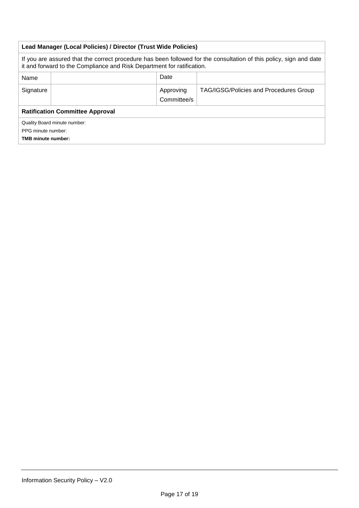| Lead Manager (Local Policies) / Director (Trust Wide Policies)                                                                                                                               |  |                          |                                        |
|----------------------------------------------------------------------------------------------------------------------------------------------------------------------------------------------|--|--------------------------|----------------------------------------|
| If you are assured that the correct procedure has been followed for the consultation of this policy, sign and date<br>it and forward to the Compliance and Risk Department for ratification. |  |                          |                                        |
| Name                                                                                                                                                                                         |  | Date                     |                                        |
| Signature                                                                                                                                                                                    |  | Approving<br>Committee/s | TAG/IGSG/Policies and Procedures Group |
| <b>Ratification Committee Approval</b>                                                                                                                                                       |  |                          |                                        |
| Quality Board minute number:<br>PPG minute number:<br><b>TMB minute number:</b>                                                                                                              |  |                          |                                        |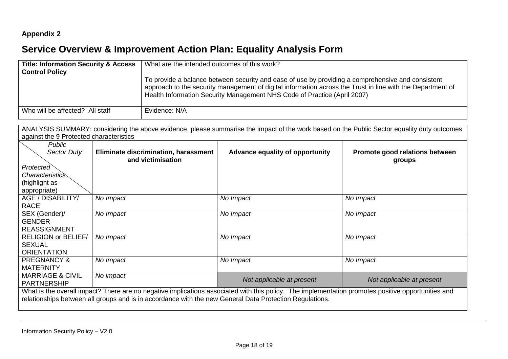# **Appendix 2**

# **Service Overview & Improvement Action Plan: Equality Analysis Form**

| <b>Title: Information Security &amp; Access</b><br><b>Control Policy</b> | What are the intended outcomes of this work?                                                                                                                                                                                                                                                |  |  |
|--------------------------------------------------------------------------|---------------------------------------------------------------------------------------------------------------------------------------------------------------------------------------------------------------------------------------------------------------------------------------------|--|--|
|                                                                          | To provide a balance between security and ease of use by providing a comprehensive and consistent<br>approach to the security management of digital information across the Trust in line with the Department of<br>Health Information Security Management NHS Code of Practice (April 2007) |  |  |
| Who will be affected? All staff                                          | Evidence: N/A                                                                                                                                                                                                                                                                               |  |  |

ANALYSIS SUMMARY: considering the above evidence, please summarise the impact of the work based on the Public Sector equality duty outcomes against the 9 Protected characteristics

| Public<br><b>Sector Duty</b> | Eliminate discrimination, harassment<br>and victimisation                                                                                          | Advance equality of opportunity | Promote good relations between<br>groups |
|------------------------------|----------------------------------------------------------------------------------------------------------------------------------------------------|---------------------------------|------------------------------------------|
| Protected                    |                                                                                                                                                    |                                 |                                          |
| <i>Characteristics</i>       |                                                                                                                                                    |                                 |                                          |
| (highlight as                |                                                                                                                                                    |                                 |                                          |
| appropriate)                 |                                                                                                                                                    |                                 |                                          |
| AGE / DISABILITY/            | No Impact                                                                                                                                          | No Impact                       | No Impact                                |
| <b>RACE</b>                  |                                                                                                                                                    |                                 |                                          |
| SEX (Gender)/                | No Impact                                                                                                                                          | No Impact                       | No Impact                                |
| <b>GENDER</b>                |                                                                                                                                                    |                                 |                                          |
| <b>REASSIGNMENT</b>          |                                                                                                                                                    |                                 |                                          |
| <b>RELIGION or BELIEF/</b>   | No Impact                                                                                                                                          | No Impact                       | No Impact                                |
| <b>SEXUAL</b>                |                                                                                                                                                    |                                 |                                          |
| <b>ORIENTATION</b>           |                                                                                                                                                    |                                 |                                          |
| <b>PREGNANCY &amp;</b>       | No Impact                                                                                                                                          | No Impact                       | No Impact                                |
| <b>MATERNITY</b>             |                                                                                                                                                    |                                 |                                          |
| <b>MARRIAGE &amp; CIVIL</b>  | No impact                                                                                                                                          | Not applicable at present       | Not applicable at present                |
| <b>PARTNERSHIP</b>           |                                                                                                                                                    |                                 |                                          |
|                              | What is the overall impact? There are no negative implications associated with this policy. The implementation promotes positive opportunities and |                                 |                                          |
|                              | relationships between all groups and is in accordance with the new General Data Protection Regulations.                                            |                                 |                                          |
|                              |                                                                                                                                                    |                                 |                                          |